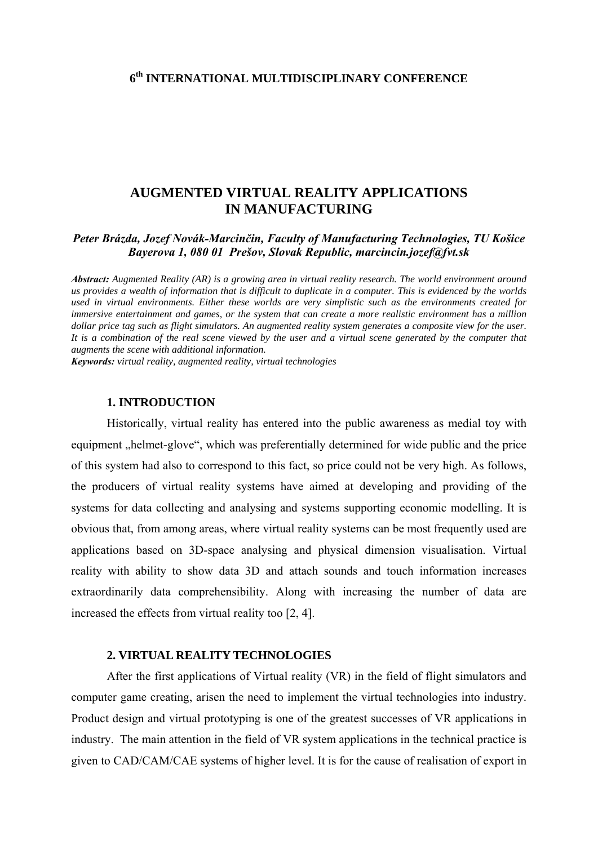## **6th INTERNATIONAL MULTIDISCIPLINARY CONFERENCE**

# **AUGMENTED VIRTUAL REALITY APPLICATIONS IN MANUFACTURING**

## *Peter Brázda, Jozef Novák-Marcinčin, Faculty of Manufacturing Technologies, TU Košice Bayerova 1, 080 01 Prešov, Slovak Republic, marcincin.jozef@fvt.sk*

*Abstract: Augmented Reality (AR) is a growing area in virtual reality research. The world environment around us provides a wealth of information that is difficult to duplicate in a computer. This is evidenced by the worlds used in virtual environments. Either these worlds are very simplistic such as the environments created for immersive entertainment and games, or the system that can create a more realistic environment has a million dollar price tag such as flight simulators. An augmented reality system generates a composite view for the user. It is a combination of the real scene viewed by the user and a virtual scene generated by the computer that augments the scene with additional information.* 

*Keywords: virtual reality, augmented reality, virtual technologies* 

#### **1. INTRODUCTION**

Historically, virtual reality has entered into the public awareness as medial toy with equipment "helmet-glove", which was preferentially determined for wide public and the price of this system had also to correspond to this fact, so price could not be very high. As follows, the producers of virtual reality systems have aimed at developing and providing of the systems for data collecting and analysing and systems supporting economic modelling. It is obvious that, from among areas, where virtual reality systems can be most frequently used are applications based on 3D-space analysing and physical dimension visualisation. Virtual reality with ability to show data 3D and attach sounds and touch information increases extraordinarily data comprehensibility. Along with increasing the number of data are increased the effects from virtual reality too [2, 4].

#### **2. VIRTUAL REALITY TECHNOLOGIES**

After the first applications of Virtual reality (VR) in the field of flight simulators and computer game creating, arisen the need to implement the virtual technologies into industry. Product design and virtual prototyping is one of the greatest successes of VR applications in industry. The main attention in the field of VR system applications in the technical practice is given to CAD/CAM/CAE systems of higher level. It is for the cause of realisation of export in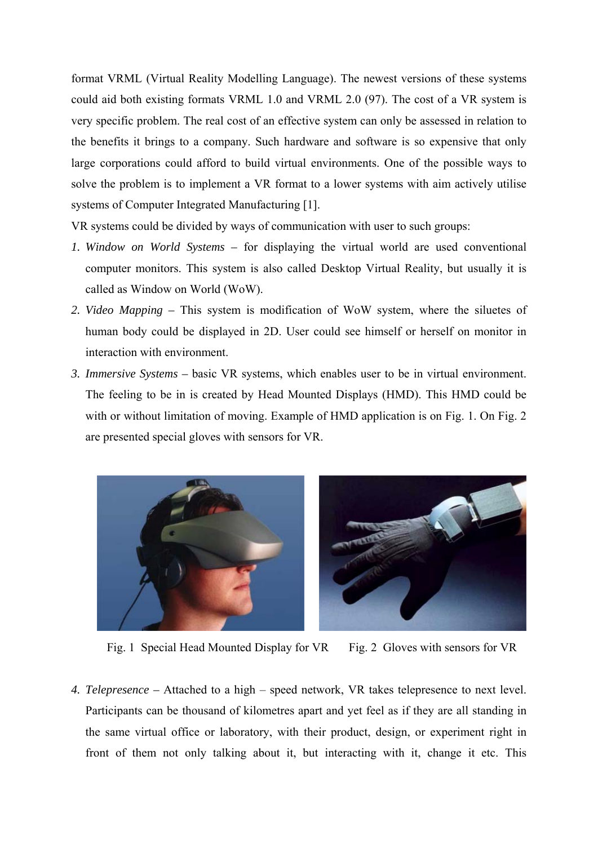format VRML (Virtual Reality Modelling Language). The newest versions of these systems could aid both existing formats VRML 1.0 and VRML 2.0 (97). The cost of a VR system is very specific problem. The real cost of an effective system can only be assessed in relation to the benefits it brings to a company. Such hardware and software is so expensive that only large corporations could afford to build virtual environments. One of the possible ways to solve the problem is to implement a VR format to a lower systems with aim actively utilise systems of Computer Integrated Manufacturing [1].

VR systems could be divided by ways of communication with user to such groups:

- *1. Window on World Systems –* for displaying the virtual world are used conventional computer monitors. This system is also called Desktop Virtual Reality, but usually it is called as Window on World (WoW).
- *2. Video Mapping –* This system is modification of WoW system, where the siluetes of human body could be displayed in 2D. User could see himself or herself on monitor in interaction with environment.
- *3. Immersive Systems* basic VR systems, which enables user to be in virtual environment. The feeling to be in is created by Head Mounted Displays (HMD). This HMD could be with or without limitation of moving. Example of HMD application is on Fig. 1. On Fig. 2 are presented special gloves with sensors for VR.



Fig. 1 Special Head Mounted Display for VR Fig. 2 Gloves with sensors for VR

*4. Telepresence –* Attached to a high – speed network, VR takes telepresence to next level. Participants can be thousand of kilometres apart and yet feel as if they are all standing in the same virtual office or laboratory, with their product, design, or experiment right in front of them not only talking about it, but interacting with it, change it etc. This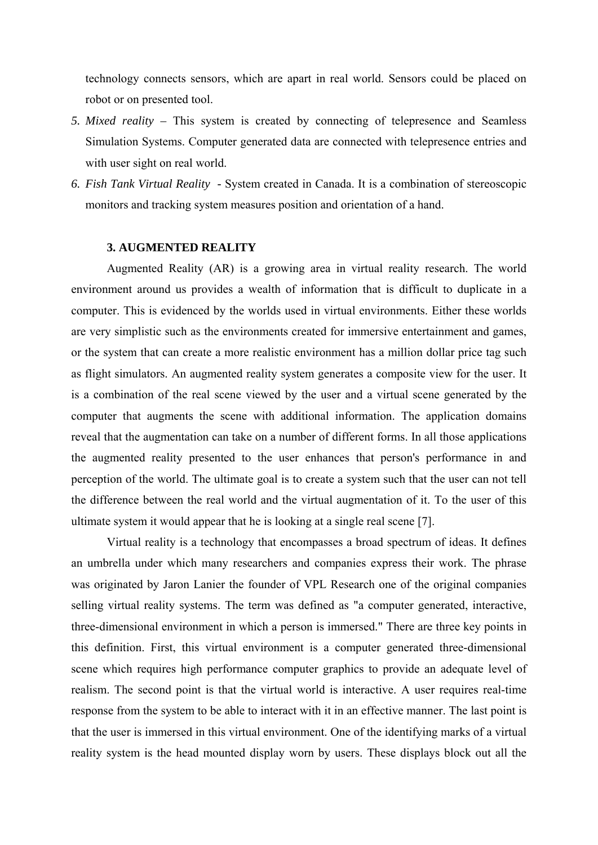technology connects sensors, which are apart in real world. Sensors could be placed on robot or on presented tool.

- *5. Mixed reality –* This system is created by connecting of telepresence and Seamless Simulation Systems. Computer generated data are connected with telepresence entries and with user sight on real world.
- *6. Fish Tank Virtual Reality -* System created in Canada. It is a combination of stereoscopic monitors and tracking system measures position and orientation of a hand.

### **3. AUGMENTED REALITY**

Augmented Reality (AR) is a growing area in virtual reality research. The world environment around us provides a wealth of information that is difficult to duplicate in a computer. This is evidenced by the worlds used in virtual environments. Either these worlds are very simplistic such as the environments created for immersive entertainment and games, or the system that can create a more realistic environment has a million dollar price tag such as flight simulators. An augmented reality system generates a composite view for the user. It is a combination of the real scene viewed by the user and a virtual scene generated by the computer that augments the scene with additional information. The application domains reveal that the augmentation can take on a number of different forms. In all those applications the augmented reality presented to the user enhances that person's performance in and perception of the world. The ultimate goal is to create a system such that the user can not tell the difference between the real world and the virtual augmentation of it. To the user of this ultimate system it would appear that he is looking at a single real scene [7].

Virtual reality is a technology that encompasses a broad spectrum of ideas. It defines an umbrella under which many researchers and companies express their work. The phrase was originated by Jaron Lanier the founder of VPL Research one of the original companies selling virtual reality systems. The term was defined as "a computer generated, interactive, three-dimensional environment in which a person is immersed." There are three key points in this definition. First, this virtual environment is a computer generated three-dimensional scene which requires high performance computer graphics to provide an adequate level of realism. The second point is that the virtual world is interactive. A user requires real-time response from the system to be able to interact with it in an effective manner. The last point is that the user is immersed in this virtual environment. One of the identifying marks of a virtual reality system is the head mounted display worn by users. These displays block out all the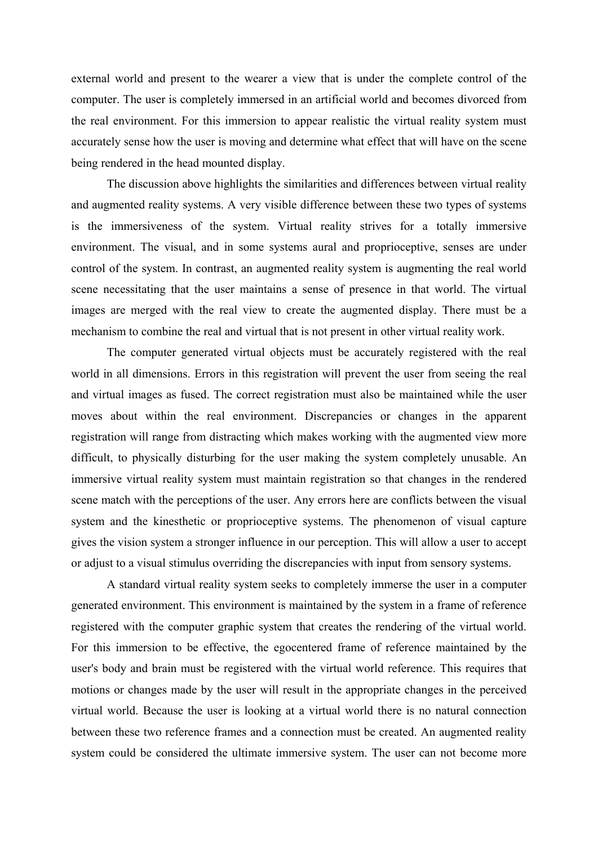external world and present to the wearer a view that is under the complete control of the computer. The user is completely immersed in an artificial world and becomes divorced from the real environment. For this immersion to appear realistic the virtual reality system must accurately sense how the user is moving and determine what effect that will have on the scene being rendered in the head mounted display.

The discussion above highlights the similarities and differences between virtual reality and augmented reality systems. A very visible difference between these two types of systems is the immersiveness of the system. Virtual reality strives for a totally immersive environment. The visual, and in some systems aural and proprioceptive, senses are under control of the system. In contrast, an augmented reality system is augmenting the real world scene necessitating that the user maintains a sense of presence in that world. The virtual images are merged with the real view to create the augmented display. There must be a mechanism to combine the real and virtual that is not present in other virtual reality work.

The computer generated virtual objects must be accurately registered with the real world in all dimensions. Errors in this registration will prevent the user from seeing the real and virtual images as fused. The correct registration must also be maintained while the user moves about within the real environment. Discrepancies or changes in the apparent registration will range from distracting which makes working with the augmented view more difficult, to physically disturbing for the user making the system completely unusable. An immersive virtual reality system must maintain registration so that changes in the rendered scene match with the perceptions of the user. Any errors here are conflicts between the visual system and the kinesthetic or proprioceptive systems. The phenomenon of visual capture gives the vision system a stronger influence in our perception. This will allow a user to accept or adjust to a visual stimulus overriding the discrepancies with input from sensory systems.

A standard virtual reality system seeks to completely immerse the user in a computer generated environment. This environment is maintained by the system in a frame of reference registered with the computer graphic system that creates the rendering of the virtual world. For this immersion to be effective, the egocentered frame of reference maintained by the user's body and brain must be registered with the virtual world reference. This requires that motions or changes made by the user will result in the appropriate changes in the perceived virtual world. Because the user is looking at a virtual world there is no natural connection between these two reference frames and a connection must be created. An augmented reality system could be considered the ultimate immersive system. The user can not become more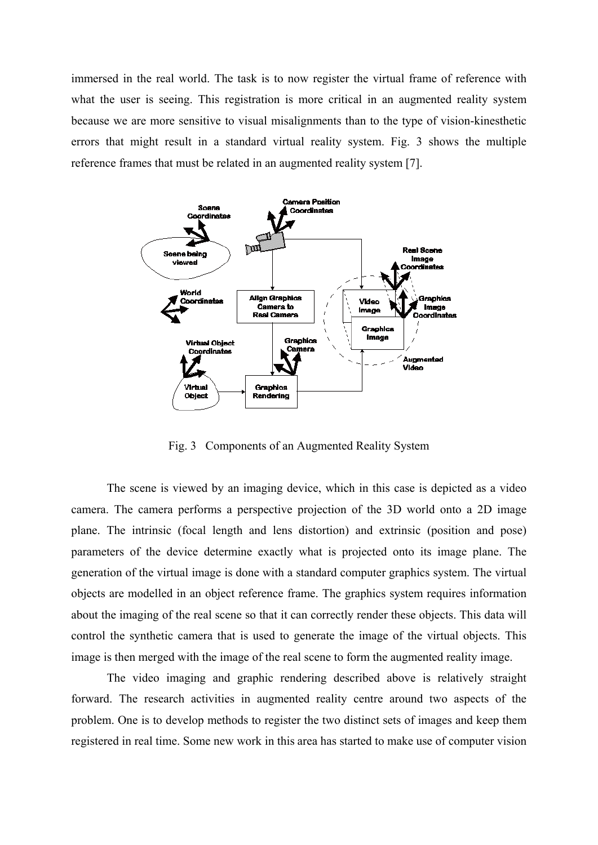immersed in the real world. The task is to now register the virtual frame of reference with what the user is seeing. This registration is more critical in an augmented reality system because we are more sensitive to visual misalignments than to the type of vision-kinesthetic errors that might result in a standard virtual reality system. Fig. 3 shows the multiple reference frames that must be related in an augmented reality system [7].



Fig. 3 Components of an Augmented Reality System

The scene is viewed by an imaging device, which in this case is depicted as a video camera. The camera performs a perspective projection of the 3D world onto a 2D image plane. The intrinsic (focal length and lens distortion) and extrinsic (position and pose) parameters of the device determine exactly what is projected onto its image plane. The generation of the virtual image is done with a standard computer graphics system. The virtual objects are modelled in an object reference frame. The graphics system requires information about the imaging of the real scene so that it can correctly render these objects. This data will control the synthetic camera that is used to generate the image of the virtual objects. This image is then merged with the image of the real scene to form the augmented reality image.

The video imaging and graphic rendering described above is relatively straight forward. The research activities in augmented reality centre around two aspects of the problem. One is to develop methods to register the two distinct sets of images and keep them registered in real time. Some new work in this area has started to make use of computer vision